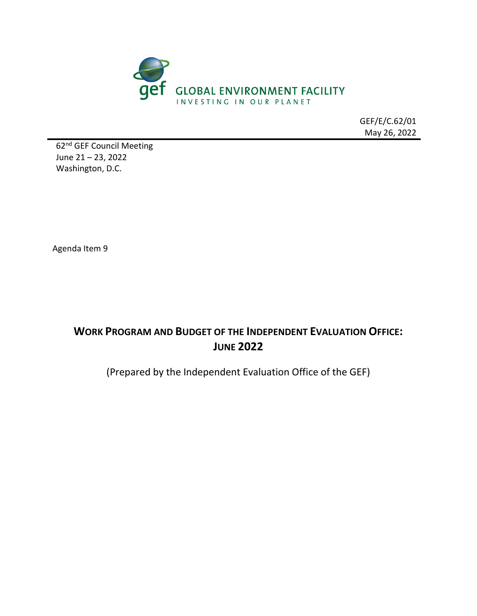

GEF/E/C.62/01 May 26, 2022

62nd GEF Council Meeting June 21 – 23, 2022 Washington, D.C.

Agenda Item 9

# **WORK PROGRAM AND BUDGET OF THE INDEPENDENT EVALUATION OFFICE: JUNE 2022**

(Prepared by the Independent Evaluation Office of the GEF)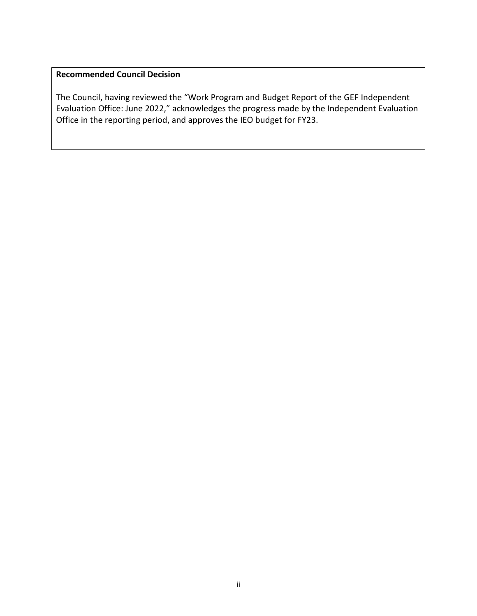## **Recommended Council Decision**

The Council, having reviewed the "Work Program and Budget Report of the GEF Independent Evaluation Office: June 2022," acknowledges the progress made by the Independent Evaluation Office in the reporting period, and approves the IEO budget for FY23.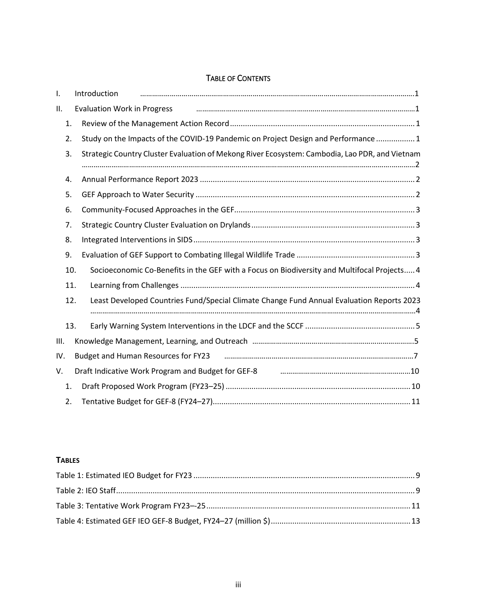#### TABLE OF CONTENTS

| I.   |     | Introduction                                                                                                             |
|------|-----|--------------------------------------------------------------------------------------------------------------------------|
| П.   |     | <b>Evaluation Work in Progress</b>                                                                                       |
|      | 1.  |                                                                                                                          |
|      | 2.  | Study on the Impacts of the COVID-19 Pandemic on Project Design and Performance  1                                       |
|      | 3.  | Strategic Country Cluster Evaluation of Mekong River Ecosystem: Cambodia, Lao PDR, and Vietnam                           |
|      | 4.  |                                                                                                                          |
|      | 5.  |                                                                                                                          |
|      | 6.  |                                                                                                                          |
|      | 7.  |                                                                                                                          |
|      | 8.  |                                                                                                                          |
|      | 9.  |                                                                                                                          |
|      | 10. | Socioeconomic Co-Benefits in the GEF with a Focus on Biodiversity and Multifocal Projects 4                              |
|      | 11. |                                                                                                                          |
|      | 12. | Least Developed Countries Fund/Special Climate Change Fund Annual Evaluation Reports 2023                                |
|      | 13. |                                                                                                                          |
| III. |     |                                                                                                                          |
| IV.  |     |                                                                                                                          |
| V.   |     | Draft Indicative Work Program and Budget for GEF-8 manufacture manufacture manufacture Mork Program and Budget for GEF-8 |
|      | 1.  |                                                                                                                          |
|      | 2.  |                                                                                                                          |

#### **TABLES**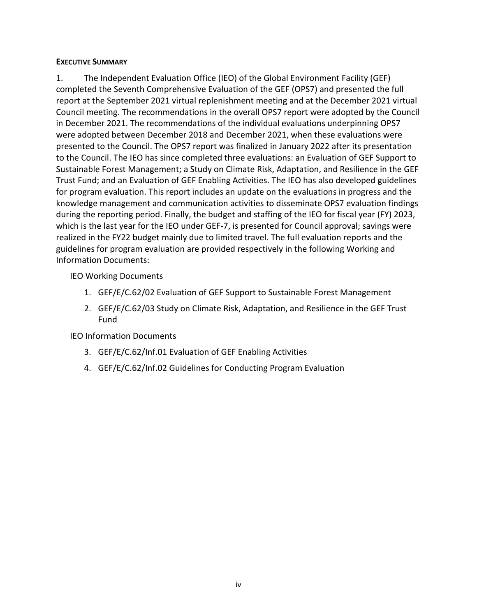#### **EXECUTIVE SUMMARY**

1. The Independent Evaluation Office (IEO) of the Global Environment Facility (GEF) completed the Seventh Comprehensive Evaluation of the GEF (OPS7) and presented the full report at the September 2021 virtual replenishment meeting and at the December 2021 virtual Council meeting. The recommendations in the overall OPS7 report were adopted by the Council in December 2021. The recommendations of the individual evaluations underpinning OPS7 were adopted between December 2018 and December 2021, when these evaluations were presented to the Council. The OPS7 report was finalized in January 2022 after its presentation to the Council. The IEO has since completed three evaluations: an Evaluation of GEF Support to Sustainable Forest Management; a Study on Climate Risk, Adaptation, and Resilience in the GEF Trust Fund; and an Evaluation of GEF Enabling Activities. The IEO has also developed guidelines for program evaluation. This report includes an update on the evaluations in progress and the knowledge management and communication activities to disseminate OPS7 evaluation findings during the reporting period. Finally, the budget and staffing of the IEO for fiscal year (FY) 2023, which is the last year for the IEO under GEF-7, is presented for Council approval; savings were realized in the FY22 budget mainly due to limited travel. The full evaluation reports and the guidelines for program evaluation are provided respectively in the following Working and Information Documents:

#### IEO Working Documents

- 1. GEF/E/C.62/02 Evaluation of GEF Support to Sustainable Forest Management
- 2. GEF/E/C.62/03 Study on Climate Risk, Adaptation, and Resilience in the GEF Trust Fund

#### IEO Information Documents

- 3. GEF/E/C.62/Inf.01 Evaluation of GEF Enabling Activities
- 4. GEF/E/C.62/Inf.02 Guidelines for Conducting Program Evaluation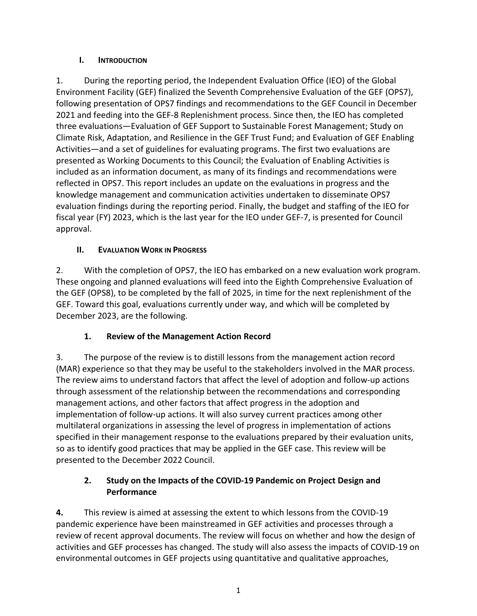#### <span id="page-4-0"></span>**I. INTRODUCTION**

1. During the reporting period, the Independent Evaluation Office (IEO) of the Global Environment Facility (GEF) finalized the Seventh Comprehensive Evaluation of the GEF (OPS7), following presentation of OPS7 findings and recommendations to the GEF Council in December 2021 and feeding into the GEF-8 Replenishment process. Since then, the IEO has completed three evaluations—Evaluation of GEF Support to Sustainable Forest Management; Study on Climate Risk, Adaptation, and Resilience in the GEF Trust Fund; and Evaluation of GEF Enabling Activities—and a set of guidelines for evaluating programs. The first two evaluations are presented as Working Documents to this Council; the Evaluation of Enabling Activities is included as an information document, as many of its findings and recommendations were reflected in OPS7. This report includes an update on the evaluations in progress and the knowledge management and communication activities undertaken to disseminate OPS7 evaluation findings during the reporting period. Finally, the budget and staffing of the IEO for fiscal year (FY) 2023, which is the last year for the IEO under GEF-7, is presented for Council approval.

### <span id="page-4-1"></span>**II. EVALUATION WORK IN PROGRESS**

2. With the completion of OPS7, the IEO has embarked on a new evaluation work program. These ongoing and planned evaluations will feed into the Eighth Comprehensive Evaluation of the GEF (OPS8), to be completed by the fall of 2025, in time for the next replenishment of the GEF. Toward this goal, evaluations currently under way, and which will be completed by December 2023, are the following.

## **1. Review of the Management Action Record**

<span id="page-4-2"></span>3. The purpose of the review is to distill lessons from the management action record (MAR) experience so that they may be useful to the stakeholders involved in the MAR process. The review aims to understand factors that affect the level of adoption and follow-up actions through assessment of the relationship between the recommendations and corresponding management actions, and other factors that affect progress in the adoption and implementation of follow-up actions. It will also survey current practices among other multilateral organizations in assessing the level of progress in implementation of actions specified in their management response to the evaluations prepared by their evaluation units, so as to identify good practices that may be applied in the GEF case. This review will be presented to the December 2022 Council.

#### <span id="page-4-3"></span>**2. Study on the Impacts of the COVID-19 Pandemic on Project Design and Performance**

**4.** This review is aimed at assessing the extent to which lessons from the COVID-19 pandemic experience have been mainstreamed in GEF activities and processes through a review of recent approval documents. The review will focus on whether and how the design of activities and GEF processes has changed. The study will also assess the impacts of COVID-19 on environmental outcomes in GEF projects using quantitative and qualitative approaches,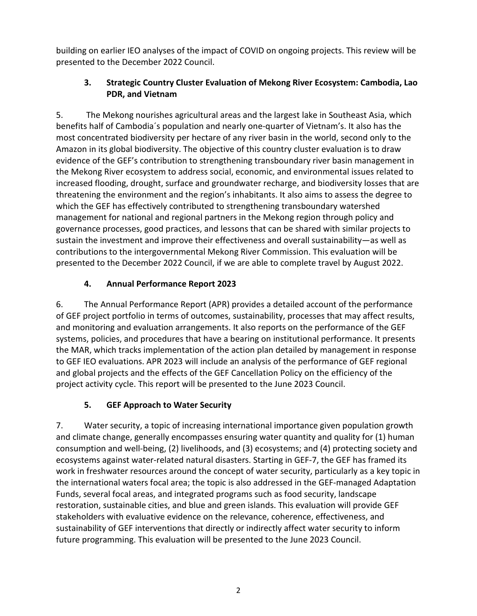<span id="page-5-0"></span>building on earlier IEO analyses of the impact of COVID on ongoing projects. This review will be presented to the December 2022 Council.

### **3. Strategic Country Cluster Evaluation of Mekong River Ecosystem: Cambodia, Lao PDR, and Vietnam**

5. The Mekong nourishes agricultural areas and the largest lake in Southeast Asia, which benefits half of Cambodia´s population and nearly one-quarter of Vietnam's. It also has the most concentrated biodiversity per hectare of any river basin in the world, second only to the Amazon in its global biodiversity. The objective of this country cluster evaluation is to draw evidence of the GEF's contribution to strengthening transboundary river basin management in the Mekong River ecosystem to address social, economic, and environmental issues related to increased flooding, drought, surface and groundwater recharge, and biodiversity losses that are threatening the environment and the region's inhabitants. It also aims to assess the degree to which the GEF has effectively contributed to strengthening transboundary watershed management for national and regional partners in the Mekong region through policy and governance processes, good practices, and lessons that can be shared with similar projects to sustain the investment and improve their effectiveness and overall sustainability—as well as contributions to the intergovernmental Mekong River Commission. This evaluation will be presented to the December 2022 Council, if we are able to complete travel by August 2022.

## **4. Annual Performance Report 2023**

<span id="page-5-1"></span>6. The Annual Performance Report (APR) provides a detailed account of the performance of GEF project portfolio in terms of outcomes, sustainability, processes that may affect results, and monitoring and evaluation arrangements. It also reports on the performance of the GEF systems, policies, and procedures that have a bearing on institutional performance. It presents the MAR, which tracks implementation of the action plan detailed by management in response to GEF IEO evaluations. APR 2023 will include an analysis of the performance of GEF regional and global projects and the effects of the GEF Cancellation Policy on the efficiency of the project activity cycle. This report will be presented to the June 2023 Council.

## **5. GEF Approach to Water Security**

<span id="page-5-2"></span>7. Water security, a topic of increasing international importance given population growth and climate change, generally encompasses ensuring water quantity and quality for (1) human consumption and well-being, (2) livelihoods, and (3) ecosystems; and (4) protecting society and ecosystems against water-related natural disasters. Starting in GEF-7, the GEF has framed its work in freshwater resources around the concept of water security, particularly as a key topic in the international waters focal area; the topic is also addressed in the GEF-managed Adaptation Funds, several focal areas, and integrated programs such as food security, landscape restoration, sustainable cities, and blue and green islands. This evaluation will provide GEF stakeholders with evaluative evidence on the relevance, coherence, effectiveness, and sustainability of GEF interventions that directly or indirectly affect water security to inform future programming. This evaluation will be presented to the June 2023 Council.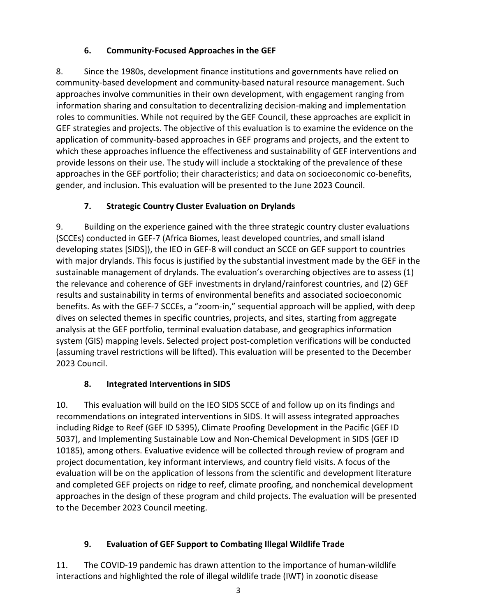### **6. Community-Focused Approaches in the GEF**

<span id="page-6-0"></span>8. Since the 1980s, development finance institutions and governments have relied on community-based development and community-based natural resource management. Such approaches involve communities in their own development, with engagement ranging from information sharing and consultation to decentralizing decision-making and implementation roles to communities. While not required by the GEF Council, these approaches are explicit in GEF strategies and projects. The objective of this evaluation is to examine the evidence on the application of community-based approaches in GEF programs and projects, and the extent to which these approaches influence the effectiveness and sustainability of GEF interventions and provide lessons on their use. The study will include a stocktaking of the prevalence of these approaches in the GEF portfolio; their characteristics; and data on socioeconomic co-benefits, gender, and inclusion. This evaluation will be presented to the June 2023 Council.

## **7. Strategic Country Cluster Evaluation on Drylands**

<span id="page-6-1"></span>9. Building on the experience gained with the three strategic country cluster evaluations (SCCEs) conducted in GEF-7 (Africa Biomes, least developed countries, and small island developing states [SIDS]), the IEO in GEF-8 will conduct an SCCE on GEF support to countries with major drylands. This focus is justified by the substantial investment made by the GEF in the sustainable management of drylands. The evaluation's overarching objectives are to assess (1) the relevance and coherence of GEF investments in dryland/rainforest countries, and (2) GEF results and sustainability in terms of environmental benefits and associated socioeconomic benefits. As with the GEF-7 SCCEs, a "zoom-in," sequential approach will be applied, with deep dives on selected themes in specific countries, projects, and sites, starting from aggregate analysis at the GEF portfolio, terminal evaluation database, and geographics information system (GIS) mapping levels. Selected project post-completion verifications will be conducted (assuming travel restrictions will be lifted). This evaluation will be presented to the December 2023 Council.

## **8. Integrated Interventions in SIDS**

<span id="page-6-2"></span>10. This evaluation will build on the IEO SIDS SCCE of and follow up on its findings and recommendations on integrated interventions in SIDS. It will assess integrated approaches including Ridge to Reef (GEF ID 5395), Climate Proofing Development in the Pacific (GEF ID 5037), and Implementing Sustainable Low and Non-Chemical Development in SIDS (GEF ID 10185), among others. Evaluative evidence will be collected through review of program and project documentation, key informant interviews, and country field visits. A focus of the evaluation will be on the application of lessons from the scientific and development literature and completed GEF projects on ridge to reef, climate proofing, and nonchemical development approaches in the design of these program and child projects. The evaluation will be presented to the December 2023 Council meeting.

## <span id="page-6-3"></span>**9. Evaluation of GEF Support to Combating Illegal Wildlife Trade**

11. The COVID-19 pandemic has drawn attention to the importance of human-wildlife interactions and highlighted the role of illegal wildlife trade (IWT) in zoonotic disease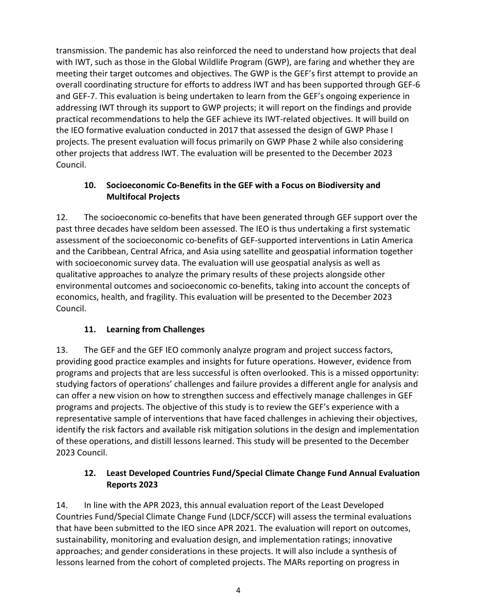transmission. The pandemic has also reinforced the need to understand how projects that deal with IWT, such as those in the Global Wildlife Program (GWP), are faring and whether they are meeting their target outcomes and objectives. The GWP is the GEF's first attempt to provide an overall coordinating structure for efforts to address IWT and has been supported through GEF-6 and GEF-7. This evaluation is being undertaken to learn from the GEF's ongoing experience in addressing IWT through its support to GWP projects; it will report on the findings and provide practical recommendations to help the GEF achieve its IWT-related objectives. It will build on the IEO formative evaluation conducted in 2017 that assessed the design of GWP Phase I projects. The present evaluation will focus primarily on GWP Phase 2 while also considering other projects that address IWT. The evaluation will be presented to the December 2023 Council.

#### <span id="page-7-0"></span>**10. Socioeconomic Co-Benefits in the GEF with a Focus on Biodiversity and Multifocal Projects**

12. The socioeconomic co-benefits that have been generated through GEF support over the past three decades have seldom been assessed. The IEO is thus undertaking a first systematic assessment of the socioeconomic co-benefits of GEF-supported interventions in Latin America and the Caribbean, Central Africa, and Asia using satellite and geospatial information together with socioeconomic survey data. The evaluation will use geospatial analysis as well as qualitative approaches to analyze the primary results of these projects alongside other environmental outcomes and socioeconomic co-benefits, taking into account the concepts of economics, health, and fragility. This evaluation will be presented to the December 2023 Council.

## **11. Learning from Challenges**

<span id="page-7-1"></span>13. The GEF and the GEF IEO commonly analyze program and project success factors, providing good practice examples and insights for future operations. However, evidence from programs and projects that are less successful is often overlooked. This is a missed opportunity: studying factors of operations' challenges and failure provides a different angle for analysis and can offer a new vision on how to strengthen success and effectively manage challenges in GEF programs and projects. The objective of this study is to review the GEF's experience with a representative sample of interventions that have faced challenges in achieving their objectives, identify the risk factors and available risk mitigation solutions in the design and implementation of these operations, and distill lessons learned. This study will be presented to the December 2023 Council.

### <span id="page-7-2"></span>**12. Least Developed Countries Fund/Special Climate Change Fund Annual Evaluation Reports 2023**

14. In line with the APR 2023, this annual evaluation report of the Least Developed Countries Fund/Special Climate Change Fund (LDCF/SCCF) will assess the terminal evaluations that have been submitted to the IEO since APR 2021. The evaluation will report on outcomes, sustainability, monitoring and evaluation design, and implementation ratings; innovative approaches; and gender considerations in these projects. It will also include a synthesis of lessons learned from the cohort of completed projects. The MARs reporting on progress in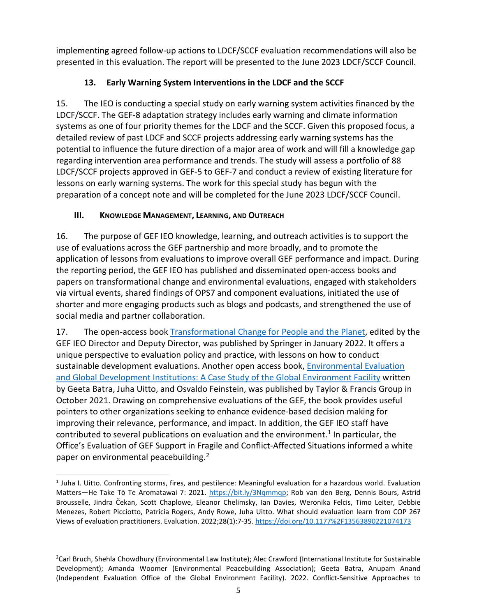implementing agreed follow-up actions to LDCF/SCCF evaluation recommendations will also be presented in this evaluation. The report will be presented to the June 2023 LDCF/SCCF Council.

### **13. Early Warning System Interventions in the LDCF and the SCCF**

<span id="page-8-0"></span>15. The IEO is conducting a special study on early warning system activities financed by the LDCF/SCCF. The GEF-8 adaptation strategy includes early warning and climate information systems as one of four priority themes for the LDCF and the SCCF. Given this proposed focus, a detailed review of past LDCF and SCCF projects addressing early warning systems has the potential to influence the future direction of a major area of work and will fill a knowledge gap regarding intervention area performance and trends. The study will assess a portfolio of 88 LDCF/SCCF projects approved in GEF-5 to GEF-7 and conduct a review of existing literature for lessons on early warning systems. The work for this special study has begun with the preparation of a concept note and will be completed for the June 2023 LDCF/SCCF Council.

### <span id="page-8-1"></span>**III. KNOWLEDGE MANAGEMENT, LEARNING, AND OUTREACH**

16. The purpose of GEF IEO knowledge, learning, and outreach activities is to support the use of evaluations across the GEF partnership and more broadly, and to promote the application of lessons from evaluations to improve overall GEF performance and impact. During the reporting period, the GEF IEO has published and disseminated open-access books and papers on transformational change and environmental evaluations, engaged with stakeholders via virtual events, shared findings of OPS7 and component evaluations, initiated the use of shorter and more engaging products such as blogs and podcasts, and strengthened the use of social media and partner collaboration.

17. The open-access book [Transformational Change for People and the Planet,](https://link.springer.com/book/10.1007/978-3-030-78853-7) edited by the GEF IEO Director and Deputy Director, was published by Springer in January 2022. It offers a unique perspective to evaluation policy and practice, with lessons on how to conduct sustainable development evaluations. Another open access book, [Environmental Evaluation](https://www.taylorfrancis.com/books/oa-mono/10.4324/9781003207979/environmental-evaluation-global-development-institutions-geeta-batra-juha-uitto-osvaldo-feinstein)  [and Global Development Institutions: A Case Study of the Global Environment Facility](https://www.taylorfrancis.com/books/oa-mono/10.4324/9781003207979/environmental-evaluation-global-development-institutions-geeta-batra-juha-uitto-osvaldo-feinstein) written by Geeta Batra, Juha Uitto, and Osvaldo Feinstein, was published by Taylor & Francis Group in October 2021. Drawing on comprehensive evaluations of the GEF, the book provides useful pointers to other organizations seeking to enhance evidence-based decision making for improving their relevance, performance, and impact. In addition, the GEF IEO staff have contributed to several publications on evaluation and the environment.<sup>[1](#page-8-2)</sup> In particular, the Office's Evaluation of GEF Support in Fragile and Conflict-Affected Situations informed a white paper on environmental peacebuilding.<sup>[2](#page-8-3)</sup>

<span id="page-8-2"></span><sup>1</sup> Juha I. Uitto. Confronting storms, fires, and pestilence: Meaningful evaluation for a hazardous world. Evaluation Matters—He Take Tō Te Aromatawai 7: 2021. [https://bit.ly/3Nqmmqp;](https://bit.ly/3Nqmmqp) Rob van den Berg, Dennis Bours, Astrid Brousselle, Jindra Čekan, Scott Chaplowe, Eleanor Chelimsky, Ian Davies, Weronika Felcis, Timo Leiter, Debbie Menezes, Robert Picciotto, Patricia Rogers, Andy Rowe, Juha Uitto. What should evaluation learn from COP 26? Views of evaluation practitioners. Evaluation. 2022;28(1):7-35.<https://doi.org/10.1177%2F13563890221074173>

<span id="page-8-3"></span><sup>2</sup> Carl Bruch, Shehla Chowdhury (Environmental Law Institute); Alec Crawford (International Institute for Sustainable Development); Amanda Woomer (Environmental Peacebuilding Association); Geeta Batra, Anupam Anand (Independent Evaluation Office of the Global Environment Facility). 2022. Conflict-Sensitive Approaches to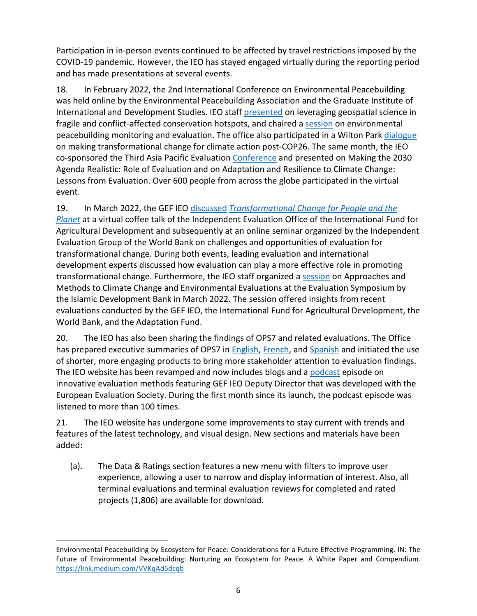Participation in in-person events continued to be affected by travel restrictions imposed by the COVID-19 pandemic. However, the IEO has stayed engaged virtually during the reporting period and has made presentations at several events.

18. In February 2022, the 2nd International Conference on Environmental Peacebuilding was held online by the Environmental Peacebuilding Association and the Graduate Institute of International and Development Studies. IEO staff [presented](https://www.environmentalpeacebuilding.org/conferences/2nd-international-conference-on-environmental-peacebuilding/agenda/show/1487#sub_1489) on leveraging geospatial science in fragile and conflict-affected conservation hotspots, and chaired a [session](https://www.environmentalpeacebuilding.org/conferences/2nd-international-conference-on-environmental-peacebuilding/agenda/show/1492) on environmental peacebuilding monitoring and evaluation. The office also participated in a Wilton Park [dialogue](https://www.wiltonpark.org.uk/event/making-transformational-change-possible-connecting-the-worlds-of-research-evaluation-policy-and-action-to-combat-climate-change/) on making transformational change for climate action post-COP26. The same month, the IEO co-sponsored the Third Asia Pacific Evaluation [Conference](https://asiapacificeval.org/news-and-events/conferences/) and presented on Making the 2030 Agenda Realistic: Role of Evaluation and on Adaptation and Resilience to Climate Change: Lessons from Evaluation. Over 600 people from across the globe participated in the virtual event.

19. In March 2022, the GEF IEO [discussed](https://www.youtube.com/watch?v=jzb0-WK-dwU&list=PLeUKn8wB0-oPYZ0GqTlSFHRY93TKsi_qL&index=8) *[Transformational Change for People and the](https://link.springer.com/book/10.1007/978-3-030-78853-7)  [Planet](https://link.springer.com/book/10.1007/978-3-030-78853-7)* at a virtual coffee talk of the Independent Evaluation Office of the International Fund for Agricultural Development and subsequently at an online seminar organized by the Independent Evaluation Group of the World Bank on challenges and opportunities of evaluation for transformational change. During both events, leading evaluation and international development experts discussed how evaluation can play a more effective role in promoting transformational change. Furthermore, the IEO staff organized a [session](https://www.youtube.com/watch?v=PbxpeblB_3Q) on Approaches and Methods to Climate Change and Environmental Evaluations at the Evaluation Symposium by the Islamic Development Bank in March 2022. The session offered insights from recent evaluations conducted by the GEF IEO, the International Fund for Agricultural Development, the World Bank, and the Adaptation Fund.

20. The IEO has also been sharing the findings of OPS7 and related evaluations. The Office has prepared executive summaries of OPS7 i[n English,](https://gefieo.org/sites/default/files/documents/reports/summaries/ops7-executive-summary-eng.pdf) [French,](https://gefieo.org/sites/default/files/documents/reports/summaries/ops7-executive-summary-fre.pdf) and [Spanish](https://gefieo.org/sites/default/files/documents/reports/summaries/ops7-executive-summary-spa.pdf) and initiated the use of shorter, more engaging products to bring more stakeholder attention to evaluation findings. The IEO website has been revamped and now includes blogs and a [podcast](https://www.gefieo.org/news/podcast-innovative-evaluation-methods) episode on innovative evaluation methods featuring GEF IEO Deputy Director that was developed with the European Evaluation Society. During the first month since its launch, the podcast episode was listened to more than 100 times.

21. The IEO website has undergone some improvements to stay current with trends and features of the latest technology, and visual design. New sections and materials have been added:

(a). The Data & Ratings section features a new menu with filters to improve user experience, allowing a user to narrow and display information of interest. Also, all terminal evaluations and terminal evaluation reviews for completed and rated projects (1,806) are available for download.

Environmental Peacebuilding by Ecosystem for Peace: Considerations for a Future Effective Programming. IN: The Future of Environmental Peacebuilding: Nurturing an Ecosystem for Peace. A White Paper and Compendium. <https://link.medium.com/VVKqAd5dcqb>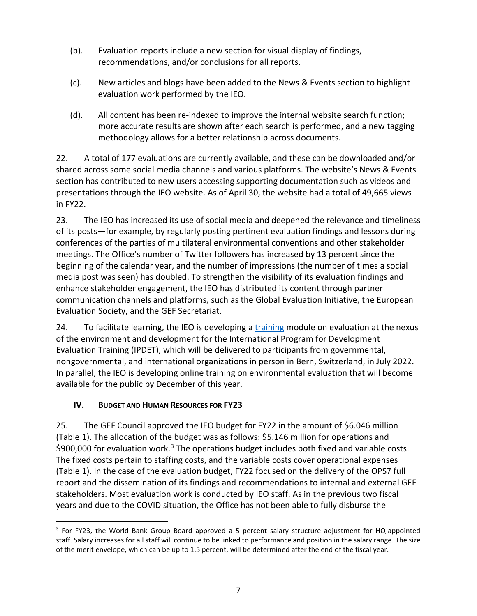- (b). Evaluation reports include a new section for visual display of findings, recommendations, and/or conclusions for all reports.
- (c). New articles and blogs have been added to the News & Events section to highlight evaluation work performed by the IEO.
- (d). All content has been re-indexed to improve the internal website search function; more accurate results are shown after each search is performed, and a new tagging methodology allows for a better relationship across documents.

22. A total of 177 evaluations are currently available, and these can be downloaded and/or shared across some social media channels and various platforms. The website's News & Events section has contributed to new users accessing supporting documentation such as videos and presentations through the IEO website. As of April 30, the website had a total of 49,665 views in FY22.

23. The IEO has increased its use of social media and deepened the relevance and timeliness of its posts—for example, by regularly posting pertinent evaluation findings and lessons during conferences of the parties of multilateral environmental conventions and other stakeholder meetings. The Office's number of Twitter followers has increased by 13 percent since the beginning of the calendar year, and the number of impressions (the number of times a social media post was seen) has doubled. To strengthen the visibility of its evaluation findings and enhance stakeholder engagement, the IEO has distributed its content through partner communication channels and platforms, such as the Global Evaluation Initiative, the European Evaluation Society, and the GEF Secretariat.

24. To facilitate learning, the IEO is developing a [training](https://www.gefieo.org/events/ipdet-2022) module on evaluation at the nexus of the environment and development for the International Program for Development Evaluation Training (IPDET), which will be delivered to participants from governmental, nongovernmental, and international organizations in person in Bern, Switzerland, in July 2022. In parallel, the IEO is developing online training on environmental evaluation that will become available for the public by December of this year.

#### <span id="page-10-0"></span>**IV. BUDGET AND HUMAN RESOURCES FOR FY23**

25. The GEF Council approved the IEO budget for FY22 in the amount of \$6.046 million (Table 1). The allocation of the budget was as follows: \$5.146 million for operations and \$900,000 for evaluation work.<sup>[3](#page-10-1)</sup> The operations budget includes both fixed and variable costs. The fixed costs pertain to staffing costs, and the variable costs cover operational expenses (Table 1). In the case of the evaluation budget, FY22 focused on the delivery of the OPS7 full report and the dissemination of its findings and recommendations to internal and external GEF stakeholders. Most evaluation work is conducted by IEO staff. As in the previous two fiscal years and due to the COVID situation, the Office has not been able to fully disburse the

<span id="page-10-1"></span><sup>&</sup>lt;sup>3</sup> For FY23, the World Bank Group Board approved a 5 percent salary structure adjustment for HQ-appointed staff. Salary increases for all staff will continue to be linked to performance and position in the salary range. The size of the merit envelope, which can be up to 1.5 percent, will be determined after the end of the fiscal year.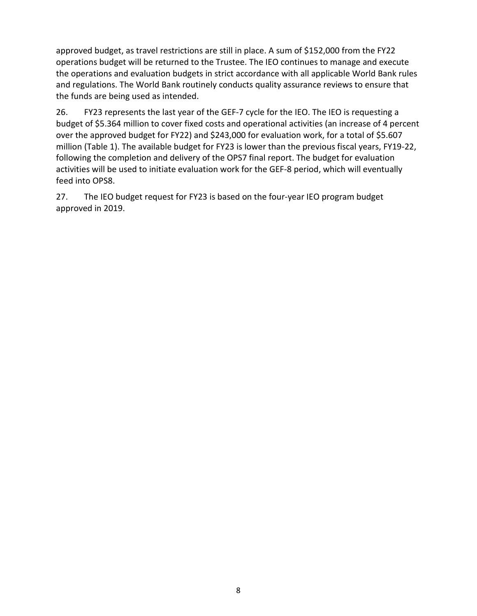approved budget, as travel restrictions are still in place. A sum of \$152,000 from the FY22 operations budget will be returned to the Trustee. The IEO continues to manage and execute the operations and evaluation budgets in strict accordance with all applicable World Bank rules and regulations. The World Bank routinely conducts quality assurance reviews to ensure that the funds are being used as intended.

26. FY23 represents the last year of the GEF-7 cycle for the IEO. The IEO is requesting a budget of \$5.364 million to cover fixed costs and operational activities (an increase of 4 percent over the approved budget for FY22) and \$243,000 for evaluation work, for a total of \$5.607 million (Table 1). The available budget for FY23 is lower than the previous fiscal years, FY19-22, following the completion and delivery of the OPS7 final report. The budget for evaluation activities will be used to initiate evaluation work for the GEF-8 period, which will eventually feed into OPS8.

27. The IEO budget request for FY23 is based on the four-year IEO program budget approved in 2019.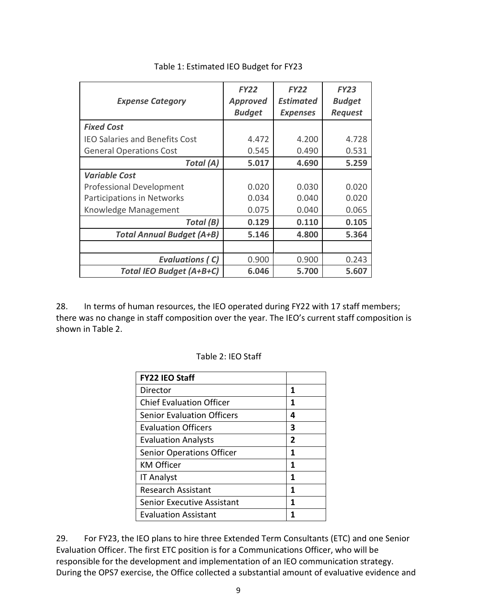<span id="page-12-0"></span>

| <b>Expense Category</b>               | <b>FY22</b><br><b>Approved</b><br><b>Budget</b> | <b>FY22</b><br><b>Estimated</b><br><b>Expenses</b> | <b>FY23</b><br><b>Budget</b><br><b>Request</b> |
|---------------------------------------|-------------------------------------------------|----------------------------------------------------|------------------------------------------------|
| <b>Fixed Cost</b>                     |                                                 |                                                    |                                                |
| <b>IEO Salaries and Benefits Cost</b> | 4.472                                           | 4.200                                              | 4.728                                          |
| <b>General Operations Cost</b>        | 0.545                                           | 0.490                                              | 0.531                                          |
| Total (A)                             | 5.017                                           | 4.690                                              | 5.259                                          |
| <b>Variable Cost</b>                  |                                                 |                                                    |                                                |
| <b>Professional Development</b>       | 0.020                                           | 0.030                                              | 0.020                                          |
| Participations in Networks            | 0.034                                           | 0.040                                              | 0.020                                          |
| Knowledge Management                  | 0.075                                           | 0.040                                              | 0.065                                          |
| Total (B)                             | 0.129                                           | 0.110                                              | 0.105                                          |
| <b>Total Annual Budget (A+B)</b>      | 5.146                                           | 4.800                                              | 5.364                                          |
|                                       |                                                 |                                                    |                                                |
| <b>Evaluations (C)</b>                | 0.900                                           | 0.900                                              | 0.243                                          |
| <b>Total IEO Budget (A+B+C)</b>       | 6.046                                           | 5.700                                              | 5.607                                          |

Table 1: Estimated IEO Budget for FY23

<span id="page-12-1"></span>28. In terms of human resources, the IEO operated during FY22 with 17 staff members; there was no change in staff composition over the year. The IEO's current staff composition is shown in Table 2.

| <b>FY22 IEO Staff</b>             |                |
|-----------------------------------|----------------|
| Director                          | 1              |
| <b>Chief Evaluation Officer</b>   | 1              |
| <b>Senior Evaluation Officers</b> | 4              |
| <b>Evaluation Officers</b>        | 3              |
| <b>Evaluation Analysts</b>        | $\overline{2}$ |
| <b>Senior Operations Officer</b>  | 1              |
| <b>KM Officer</b>                 | 1              |
| <b>IT Analyst</b>                 | 1              |
| <b>Research Assistant</b>         | 1              |
| <b>Senior Executive Assistant</b> | 1              |
| <b>Evaluation Assistant</b>       |                |

Table 2: IEO Staff

29. For FY23, the IEO plans to hire three Extended Term Consultants (ETC) and one Senior Evaluation Officer. The first ETC position is for a Communications Officer, who will be responsible for the development and implementation of an IEO communication strategy. During the OPS7 exercise, the Office collected a substantial amount of evaluative evidence and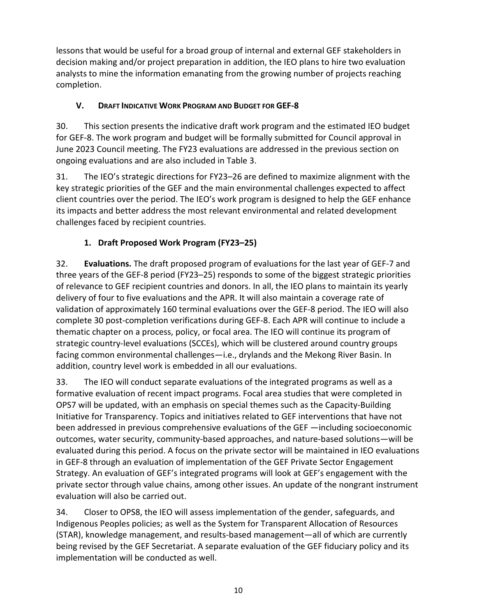lessons that would be useful for a broad group of internal and external GEF stakeholders in decision making and/or project preparation in addition, the IEO plans to hire two evaluation analysts to mine the information emanating from the growing number of projects reaching completion.

#### <span id="page-13-0"></span>**V. DRAFT INDICATIVE WORK PROGRAM AND BUDGET FOR GEF-8**

30. This section presents the indicative draft work program and the estimated IEO budget for GEF-8. The work program and budget will be formally submitted for Council approval in June 2023 Council meeting. The FY23 evaluations are addressed in the previous section on ongoing evaluations and are also included in Table 3.

31. The IEO's strategic directions for FY23–26 are defined to maximize alignment with the key strategic priorities of the GEF and the main environmental challenges expected to affect client countries over the period. The IEO's work program is designed to help the GEF enhance its impacts and better address the most relevant environmental and related development challenges faced by recipient countries.

## **1. Draft Proposed Work Program (FY23–25)**

<span id="page-13-1"></span>32. **Evaluations.** The draft proposed program of evaluations for the last year of GEF-7 and three years of the GEF-8 period (FY23–25) responds to some of the biggest strategic priorities of relevance to GEF recipient countries and donors. In all, the IEO plans to maintain its yearly delivery of four to five evaluations and the APR. It will also maintain a coverage rate of validation of approximately 160 terminal evaluations over the GEF-8 period. The IEO will also complete 30 post-completion verifications during GEF-8. Each APR will continue to include a thematic chapter on a process, policy, or focal area. The IEO will continue its program of strategic country-level evaluations (SCCEs), which will be clustered around country groups facing common environmental challenges—i.e., drylands and the Mekong River Basin. In addition, country level work is embedded in all our evaluations.

33. The IEO will conduct separate evaluations of the integrated programs as well as a formative evaluation of recent impact programs. Focal area studies that were completed in OPS7 will be updated, with an emphasis on special themes such as the Capacity-Building Initiative for Transparency. Topics and initiatives related to GEF interventions that have not been addressed in previous comprehensive evaluations of the GEF —including socioeconomic outcomes, water security, community-based approaches, and nature-based solutions—will be evaluated during this period. A focus on the private sector will be maintained in IEO evaluations in GEF-8 through an evaluation of implementation of the GEF Private Sector Engagement Strategy. An evaluation of GEF's integrated programs will look at GEF's engagement with the private sector through value chains, among other issues. An update of the nongrant instrument evaluation will also be carried out.

34. Closer to OPS8, the IEO will assess implementation of the gender, safeguards, and Indigenous Peoples policies; as well as the System for Transparent Allocation of Resources (STAR), knowledge management, and results-based management—all of which are currently being revised by the GEF Secretariat. A separate evaluation of the GEF fiduciary policy and its implementation will be conducted as well.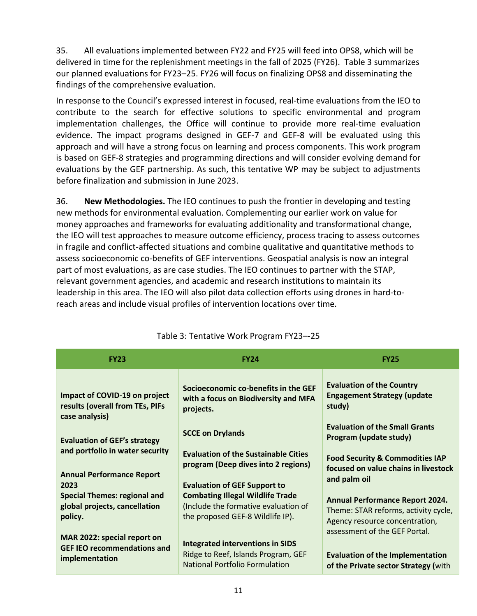35. All evaluations implemented between FY22 and FY25 will feed into OPS8, which will be delivered in time for the replenishment meetings in the fall of 2025 (FY26). Table 3 summarizes our planned evaluations for FY23–25. FY26 will focus on finalizing OPS8 and disseminating the findings of the comprehensive evaluation.

In response to the Council's expressed interest in focused, real-time evaluations from the IEO to contribute to the search for effective solutions to specific environmental and program implementation challenges, the Office will continue to provide more real-time evaluation evidence. The impact programs designed in GEF-7 and GEF-8 will be evaluated using this approach and will have a strong focus on learning and process components. This work program is based on GEF-8 strategies and programming directions and will consider evolving demand for evaluations by the GEF partnership. As such, this tentative WP may be subject to adjustments before finalization and submission in June 2023.

36. **New Methodologies.** The IEO continues to push the frontier in developing and testing new methods for environmental evaluation. Complementing our earlier work on value for money approaches and frameworks for evaluating additionality and transformational change, the IEO will test approaches to measure outcome efficiency, process tracing to assess outcomes in fragile and conflict-affected situations and combine qualitative and quantitative methods to assess socioeconomic co-benefits of GEF interventions. Geospatial analysis is now an integral part of most evaluations, as are case studies. The IEO continues to partner with the STAP, relevant government agencies, and academic and research institutions to maintain its leadership in this area. The IEO will also pilot data collection efforts using drones in hard-toreach areas and include visual profiles of intervention locations over time.

<span id="page-14-1"></span><span id="page-14-0"></span>

| <b>FY23</b>                                                                         | <b>FY24</b>                                                                                                         | <b>FY25</b>                                                                                                                                       |
|-------------------------------------------------------------------------------------|---------------------------------------------------------------------------------------------------------------------|---------------------------------------------------------------------------------------------------------------------------------------------------|
| Impact of COVID-19 on project<br>results (overall from TEs, PIFs<br>case analysis)  | Socioeconomic co-benefits in the GEF<br>with a focus on Biodiversity and MFA<br>projects.                           | <b>Evaluation of the Country</b><br><b>Engagement Strategy (update</b><br>study)                                                                  |
| <b>Evaluation of GEF's strategy</b><br>and portfolio in water security              | <b>SCCE on Drylands</b>                                                                                             | <b>Evaluation of the Small Grants</b><br>Program (update study)                                                                                   |
|                                                                                     | <b>Evaluation of the Sustainable Cities</b><br>program (Deep dives into 2 regions)                                  | <b>Food Security &amp; Commodities IAP</b><br>focused on value chains in livestock                                                                |
| <b>Annual Performance Report</b><br>2023                                            | <b>Evaluation of GEF Support to</b>                                                                                 | and palm oil                                                                                                                                      |
| <b>Special Themes: regional and</b><br>global projects, cancellation<br>policy.     | <b>Combating Illegal Wildlife Trade</b><br>(Include the formative evaluation of<br>the proposed GEF-8 Wildlife IP). | <b>Annual Performance Report 2024.</b><br>Theme: STAR reforms, activity cycle,<br>Agency resource concentration,<br>assessment of the GEF Portal. |
| MAR 2022: special report on<br><b>GEF IEO recommendations and</b><br>implementation | <b>Integrated interventions in SIDS</b><br>Ridge to Reef, Islands Program, GEF<br>National Portfolio Formulation    | <b>Evaluation of the Implementation</b><br>of the Private sector Strategy (with                                                                   |

## Table 3: Tentative Work Program FY23–-25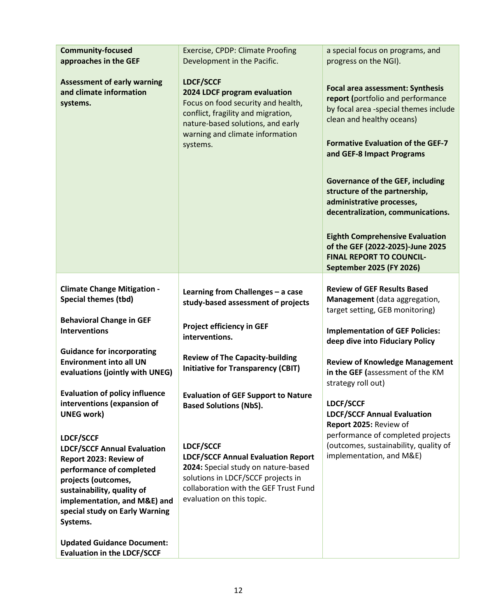| <b>Community-focused</b>                                                                                                                                                                                                                 | <b>Exercise, CPDP: Climate Proofing</b>                                                                                                                                                                          | a special focus on programs, and                                                                                                                                                                                                                                                                                                                                                                                                                                                                                              |  |  |
|------------------------------------------------------------------------------------------------------------------------------------------------------------------------------------------------------------------------------------------|------------------------------------------------------------------------------------------------------------------------------------------------------------------------------------------------------------------|-------------------------------------------------------------------------------------------------------------------------------------------------------------------------------------------------------------------------------------------------------------------------------------------------------------------------------------------------------------------------------------------------------------------------------------------------------------------------------------------------------------------------------|--|--|
| approaches in the GEF                                                                                                                                                                                                                    | Development in the Pacific.                                                                                                                                                                                      | progress on the NGI).                                                                                                                                                                                                                                                                                                                                                                                                                                                                                                         |  |  |
| <b>Assessment of early warning</b><br>and climate information<br>systems.                                                                                                                                                                | <b>LDCF/SCCF</b><br>2024 LDCF program evaluation<br>Focus on food security and health,<br>conflict, fragility and migration,<br>nature-based solutions, and early<br>warning and climate information<br>systems. | <b>Focal area assessment: Synthesis</b><br>report (portfolio and performance<br>by focal area -special themes include<br>clean and healthy oceans)<br><b>Formative Evaluation of the GEF-7</b><br>and GEF-8 Impact Programs<br><b>Governance of the GEF, including</b><br>structure of the partnership,<br>administrative processes,<br>decentralization, communications.<br><b>Eighth Comprehensive Evaluation</b><br>of the GEF (2022-2025)-June 2025<br><b>FINAL REPORT TO COUNCIL-</b><br><b>September 2025 (FY 2026)</b> |  |  |
|                                                                                                                                                                                                                                          |                                                                                                                                                                                                                  |                                                                                                                                                                                                                                                                                                                                                                                                                                                                                                                               |  |  |
| <b>Climate Change Mitigation -</b><br><b>Special themes (tbd)</b><br><b>Behavioral Change in GEF</b>                                                                                                                                     | Learning from Challenges - a case<br>study-based assessment of projects<br><b>Project efficiency in GEF</b>                                                                                                      | <b>Review of GEF Results Based</b><br>Management (data aggregation,<br>target setting, GEB monitoring)                                                                                                                                                                                                                                                                                                                                                                                                                        |  |  |
| <b>Interventions</b>                                                                                                                                                                                                                     | interventions.                                                                                                                                                                                                   | <b>Implementation of GEF Policies:</b><br>deep dive into Fiduciary Policy                                                                                                                                                                                                                                                                                                                                                                                                                                                     |  |  |
| <b>Guidance for incorporating</b>                                                                                                                                                                                                        | <b>Review of The Capacity-building</b>                                                                                                                                                                           |                                                                                                                                                                                                                                                                                                                                                                                                                                                                                                                               |  |  |
| <b>Environment into all UN</b><br>evaluations (jointly with UNEG)                                                                                                                                                                        | <b>Initiative for Transparency (CBIT)</b>                                                                                                                                                                        | <b>Review of Knowledge Management</b><br>in the GEF (assessment of the KM<br>strategy roll out)                                                                                                                                                                                                                                                                                                                                                                                                                               |  |  |
| <b>Evaluation of policy influence</b><br>interventions (expansion of<br><b>UNEG work)</b>                                                                                                                                                | <b>Evaluation of GEF Support to Nature</b><br><b>Based Solutions (NbS).</b>                                                                                                                                      | <b>LDCF/SCCF</b><br><b>LDCF/SCCF Annual Evaluation</b><br>Report 2025: Review of                                                                                                                                                                                                                                                                                                                                                                                                                                              |  |  |
| LDCF/SCCF<br><b>LDCF/SCCF Annual Evaluation</b><br>Report 2023: Review of<br>performance of completed<br>projects (outcomes,<br>sustainability, quality of<br>implementation, and M&E) and<br>special study on Early Warning<br>Systems. | LDCF/SCCF<br><b>LDCF/SCCF Annual Evaluation Report</b><br>2024: Special study on nature-based<br>solutions in LDCF/SCCF projects in<br>collaboration with the GEF Trust Fund<br>evaluation on this topic.        | performance of completed projects<br>(outcomes, sustainability, quality of<br>implementation, and M&E)                                                                                                                                                                                                                                                                                                                                                                                                                        |  |  |
| <b>Updated Guidance Document:</b><br><b>Evaluation in the LDCF/SCCF</b>                                                                                                                                                                  |                                                                                                                                                                                                                  |                                                                                                                                                                                                                                                                                                                                                                                                                                                                                                                               |  |  |